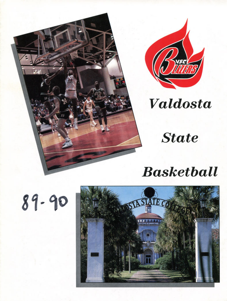



# *Valdosta*

# *State*

# *Basketball*



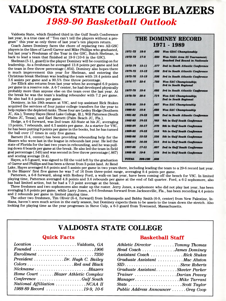## **VALDOSTA STATE COLLEGE BLAZERS** *1989-90 Basketball Outlook*

Valdosta State, which finished third in the Gulf South Conference last year, is a true case of " You can't tell the players without a program'' this year as only three of last year's ten players return.

Coach James Dominey faces the chore of replacing two All-GSC players in the likes of Lavell Garror and Mike Phillips who graduated, but last year's Freshman of the Year in the GSC, Butch Shelman, is back to lead a team that finished at 19-9 (10-6 in the GSC).

Shelman (5-11, guard) is the player Dominey will be counting on for leadership. As a freshman he averaged 13.8 points per game and led the team in free throw percentage (.854). Dominey also hopes there is much improvement this year for Shelman, and entering the Christmas break Shelman was leading the team with 19.4 points and 3.6 assists per game and a 90.5% free throw percentage.

Joe Ellick also returns from last year when he averaged 6.9 points per game in a reserve role. A 6-7 center, he had developed physically probably more than anyone else on the team over the last year. At the break he was the team's leading rebounder with 7.2 per game. He also had 9.4 points per game.

Dominey, in his 19th season at VSC, and top assistant Rick Stukes acquired the services of four junior college transfers for the year to help replace the depleted ranks. Those four are Lesley Hodge (Southern JC, Ala.), Tommy Hayes (Rend Lake College, 111.), Will Patterson (South Plains JC, Texas), and Earl Barnett (Palm Beach JC, Fla.).

Hodge, a 6-4 forward, was 2nd team All-State at his JC, averaging 13 points, 7 rebounds, and 4.5 assists per game. As a starter for VSC, he has been putting 9 points per game in the books, but he has turned the ball over 17 times in only five games.

Barnett (6-4, center) has been providing rebounding help for the Blazers who were last in the league in rebounds last year. He led the state of Florida for the last two years in rebounding, and he was pulling down 6 boards per game at the break. He also led the team in field goal percentage (.545) and was second in free throw percentage (.867) and scoring average (9.4).

Hayes, a 6-5 guard, was signed to fill the void left by the graduation of Garror and Phillips and has been a threat from 3-point land. At Rend

|              |             |      | 1971 - 1989                                                                  |
|--------------|-------------|------|------------------------------------------------------------------------------|
| 1971-72      | 18-8        | .692 | <b>Won GIAC Championship</b>                                                 |
| 1972-73      | $17 - 8$    | .680 | <b>Won NAIA Area 25 Tournament:</b><br><b>Reached 2nd Round in Nationals</b> |
| 1973-74      | $15 - 11$   | .577 | 2nd in South Atlantic Conference                                             |
| 1974-75      | $15 - 12$   | .556 | 2rd in South Atlantic Conference                                             |
| 1975-76      | 15-13       | .536 | <b>3rd in South Atlantic Conference</b>                                      |
| 1976-77      | 29 6        | .793 | <b>Won SAC Championship:</b><br><b>3rd in South Regional</b>                 |
| 1977-78      | 18-8        | .692 | 3rd in South Atlantic Conference                                             |
| 1978-79      | 20-8        | .714 | Won SAC Championship:<br>2nd in South Regional                               |
| 1979-80      | 18-9        | .667 | <b>Won SAC Championship</b>                                                  |
| 1980-81      | <b>18-8</b> | 692  | <b>Won SAC Championship</b>                                                  |
| 1981-82      | $14 - 12$   | .538 | 2nd in South Atlantic Conference                                             |
| 1982-83      | 14-15       | .483 | 4th in Gulf South Conference                                                 |
| 1983-84      | $10 - 17$   | .370 | <b>8th in Gulf South Conference</b>                                          |
| 1984-85      | 14.13       | .519 | 4th in Gulf South Conference                                                 |
| 1985-86      | 15-12       | .556 | 5th in Gulf South Conference                                                 |
| 1986-87      | 16-10       | .615 | <b>3rd in Gulf South Conference</b>                                          |
| 1987-88      | $17 - 11$   | .607 | 2nd in Gulf South Conference                                                 |
| 1988-89      | 19.9        | .679 | <b>3rd in Gulf South Conference</b>                                          |
| <b>TOTAL</b> | 296-190     | .609 |                                                                              |

## **THE DOMINEY RECORD**

Lake, Hayes averaged 8.6 points and 5 assists per game in two years there, including leading the team to a 29-6 record last year. In the Blazers' first five games he was 7 of 16 from three-point range, averaging 9.4 points per game.

Patterson, a 6-8 forward, along with Rodney Ford, a walk-on last year, have been coming off the bench for VSC. In limited playing time, Patterson averaged 4.8 points and 3.6 rebounds per game at the end of fall quarter. Ford, a 6-2 sophomore, also has had limited action, but he had a 7.3 point average at the break.

Three freshmen and two sophomores also make up the roster. Jerry Jones, a sophomore who did not play last year, has been averaging 5.6 points per game, while Larry Jones, a 6-6 freshman forward from Jacksonville, Fla., has been recording 4.4 points and 2 rebounds per game in limited playing time.

The other two freshmen, Tim Oliver (6-4, forward) from Indianapolis and Bobby Smith (6-9, center) from New Palestine, Indiana, haven't seen much action in the early season, but Dominey expects them to be assets to the team down the stretch. Also looking for playing time as the year progresses in Steve Culp, a 6-3 guard from Townsend, Massachusetts.

### **VALDOSTA STATE COLLEGE**

### **Quick Facts**

| $Location \dots \dots \dots \dots \dots \dots \dots Valdosta, GA$                                                |  |
|------------------------------------------------------------------------------------------------------------------|--|
| $Founded \ldots \ldots \ldots \ldots \ldots \ldots \ldots \ldots \ldots 1906$                                    |  |
|                                                                                                                  |  |
| $President \ldots \ldots \ldots \ldots Dr. Hugh C. Bailey$                                                       |  |
|                                                                                                                  |  |
| $Nickname \dots \dots \dots \dots \dots \dots \dots \dots \dots \dots \dots \dots \dots \dots \dots \dots \dots$ |  |
| Home Court Blazer Athletic Complex                                                                               |  |
| $ Conference   Gulf South Output$                                                                                |  |
| National Affiliation NCAA II                                                                                     |  |
| 1988-89 Record $\ldots \ldots \ldots \ldots 19-9$ , 10-6                                                         |  |

#### **Basketball Staff**

| Athletic Director Tommy Thomas                                   |  |
|------------------------------------------------------------------|--|
| Head Coach James Dominey                                         |  |
| Assistant Coach Rick Stukes                                      |  |
| Graduate Assistant Mac Abston                                    |  |
|                                                                  |  |
| Graduate AssistantSkeeter Parker                                 |  |
| Trainer Darian Peavey                                            |  |
| ManagerMike Tarrant                                              |  |
| Stats $\dots \dots \dots \dots \dots \dots \dots$ . Scott Taylor |  |
| Public Address Announcer Greg Coop                               |  |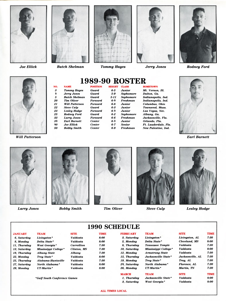



*Joe Ellick Butch Shelman Tommy Hayes Jerry Jones Rodney Ford*





*Will Patterson*

**NO. NAME POSITION HEIGHT CLASS HOMETOWN** *4 Jerry Jones Guard 5-9 Sophomore Dalton, Ga. 25 Rodney Ford Guard 6-2 Sophomore Albany, Ga.*

## **1989-90 ROSTER**

| NO. | <b>NAME</b>           | <b>POSITION</b> | нясни   | <b>CLASS</b>     | <b>HOMETOWN</b>      |
|-----|-----------------------|-----------------|---------|------------------|----------------------|
| 3   | <b>Tommy Hayes</b>    | Guard           | 6-5     | <b>Junior</b>    | Mt. Vernon, Ill.     |
| 4   | <b>Jerry Jones</b>    | Guard           | 5-9     | Sophomore        | Dalton, Ga.          |
| 5   | <b>Butch Shelman</b>  | Guard           | 5-11    | Sophomore        | Indianapolis, Ind.   |
| 20  | <b>Tim Oliver</b>     | Forward         | 6-4     | Freshman         | Indianapolis, Ind.   |
| 21  | <b>Will Patterson</b> | Forward         | 6-8     | Junior           | Columbus, Ohio       |
| 22  | <b>Steve Culp</b>     | Guard           | 6-3     | Junior           | Townsend, Mass.      |
| 23  | Lesley Hodge          | Forward         | $6-4$   | <b>Junior</b>    | Las Vegas, Nev.      |
| 25  | Rodney Ford           | Guard           | $6 - 2$ | <b>Sophomore</b> | Albany, Ga.          |
| 33  | <b>Larry Jones</b>    | <b>Forward</b>  | 6-6     | Freshman         | Jacksonville, Fla.   |
| 34  | <b>Earl Barnett</b>   | <b>Center</b>   | 6-4     | Junior           | Orlando, Fla.        |
| 40  | <b>Joe Ellick</b>     | <b>Center</b>   | $6-7$   | Senior           | Ft. Lauderdale, Fla. |
| 50  | Bobbu Smith           | <b>Center</b>   | 69      | Freshman         | New Palestine. Ind.  |
|     |                       |                 |         |                  |                      |



*Earl Barnett*











*Larry Jones Bobby Smith Tim Oliver Steve Culp Lesley Hodge*

**JANUARY TEAM SITE TIME FEBRUARY TEAM SITE TIME** *6, Saturday Livingston \* Valdosta 8:00 3, Saturday Livingston \* Livingston, AL 7:30 8, Monday Delta State \* Valdosta 8:00 5, Monday Delta State \* Cleveland, MS 8:00 11, Thursday West Georgia \* Carrollton 7:30 8, Thursday Tennessee Temple Valdosta 7:30 13, Saturday Mississippi College\* Clinton, MS 7:30 10, Saturday Mississippi College\* Valdosta 8:00 18, Thursday Albany State Albany 7:30 12, Monday Armstrong State Valdosta 7:30 22, Monday Troy State \* Valdosta 8:00 15, Thursday Jacksonville State\* Jacksonville, AL 7:30 25, Thursday A labama-Huntsville Valdosta 7:30 19, Monday Troy State \* Troy, AL 7:30 27, Saturday North Alabama\* Valdosta 8:00 24, Saturday North Alabama \* Florence, AL 7:30*

*29, Monday UT-Martin \* Valdosta 8:00 26, Monday UT-Martin \* Martin, TN 7:30*

### **1990 SCHEDULE**

| FEBRUARY   |
|------------|
| 3. Saturd  |
| 5. Monday  |
| 8. Thursd  |
| 10, Saturd |
| 12, Monday |
| 15, Thursd |
| 19. Monday |
| 24. Saturd |
| 26, Monday |
| МАРСИ      |

| , Monday |             |  |  |
|----------|-------------|--|--|
|          | <b>NRCH</b> |  |  |
|          | , Thursday  |  |  |
|          | .           |  |  |

# **MARCH TEAM SITE TIME** *\* Gulf South Conference Games 1, Thursday Jacksonville State\* Valdosta 8:00 3, Saturday West Georgia\* Valdosta 8:00*

#### **ALL TIMES LOCAL**